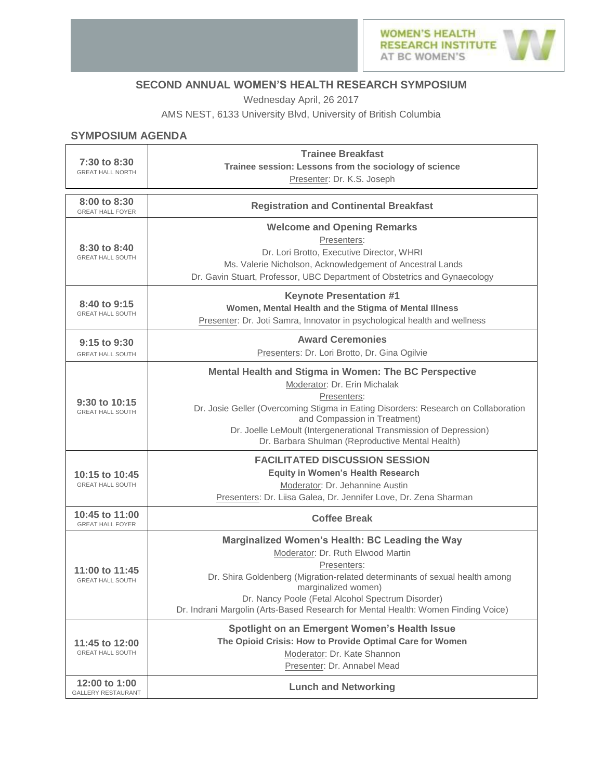

## **SECOND ANNUAL WOMEN'S HEALTH RESEARCH SYMPOSIUM**

Wednesday April, 26 2017

AMS NEST, 6133 University Blvd, University of British Columbia

## **SYMPOSIUM AGENDA**

| 7:30 to 8:30<br><b>GREAT HALL NORTH</b>      | <b>Trainee Breakfast</b><br>Trainee session: Lessons from the sociology of science<br>Presenter: Dr. K.S. Joseph                                                                                                                                                                                                                                    |
|----------------------------------------------|-----------------------------------------------------------------------------------------------------------------------------------------------------------------------------------------------------------------------------------------------------------------------------------------------------------------------------------------------------|
| 8:00 to 8:30<br><b>GREAT HALL FOYER</b>      | <b>Registration and Continental Breakfast</b>                                                                                                                                                                                                                                                                                                       |
| 8:30 to 8:40<br><b>GREAT HALL SOUTH</b>      | <b>Welcome and Opening Remarks</b><br>Presenters:<br>Dr. Lori Brotto, Executive Director, WHRI<br>Ms. Valerie Nicholson, Acknowledgement of Ancestral Lands<br>Dr. Gavin Stuart, Professor, UBC Department of Obstetrics and Gynaecology                                                                                                            |
| 8:40 to 9:15<br><b>GREAT HALL SOUTH</b>      | <b>Keynote Presentation #1</b><br>Women, Mental Health and the Stigma of Mental Illness<br>Presenter: Dr. Joti Samra, Innovator in psychological health and wellness                                                                                                                                                                                |
| $9:15$ to $9:30$<br><b>GREAT HALL SOUTH</b>  | <b>Award Ceremonies</b><br>Presenters: Dr. Lori Brotto, Dr. Gina Ogilvie                                                                                                                                                                                                                                                                            |
| $9:30$ to $10:15$<br><b>GREAT HALL SOUTH</b> | Mental Health and Stigma in Women: The BC Perspective<br>Moderator: Dr. Erin Michalak<br>Presenters:<br>Dr. Josie Geller (Overcoming Stigma in Eating Disorders: Research on Collaboration<br>and Compassion in Treatment)<br>Dr. Joelle LeMoult (Intergenerational Transmission of Depression)<br>Dr. Barbara Shulman (Reproductive Mental Health) |
| 10:15 to 10:45<br><b>GREAT HALL SOUTH</b>    | <b>FACILITATED DISCUSSION SESSION</b><br><b>Equity in Women's Health Research</b><br>Moderator: Dr. Jehannine Austin<br>Presenters: Dr. Liisa Galea, Dr. Jennifer Love, Dr. Zena Sharman                                                                                                                                                            |
| 10:45 to 11:00<br><b>GREAT HALL FOYER</b>    | <b>Coffee Break</b>                                                                                                                                                                                                                                                                                                                                 |
| 11:00 to 11:45<br><b>GREAT HALL SOUTH</b>    | Marginalized Women's Health: BC Leading the Way<br>Moderator: Dr. Ruth Elwood Martin<br>Presenters:<br>Dr. Shira Goldenberg (Migration-related determinants of sexual health among<br>marginalized women)<br>Dr. Nancy Poole (Fetal Alcohol Spectrum Disorder)<br>Dr. Indrani Margolin (Arts-Based Research for Mental Health: Women Finding Voice) |
| 11:45 to 12:00<br><b>GREAT HALL SOUTH</b>    | Spotlight on an Emergent Women's Health Issue<br>The Opioid Crisis: How to Provide Optimal Care for Women<br>Moderator: Dr. Kate Shannon<br>Presenter: Dr. Annabel Mead                                                                                                                                                                             |
| 12:00 to 1:00<br><b>GALLERY RESTAURANT</b>   | <b>Lunch and Networking</b>                                                                                                                                                                                                                                                                                                                         |